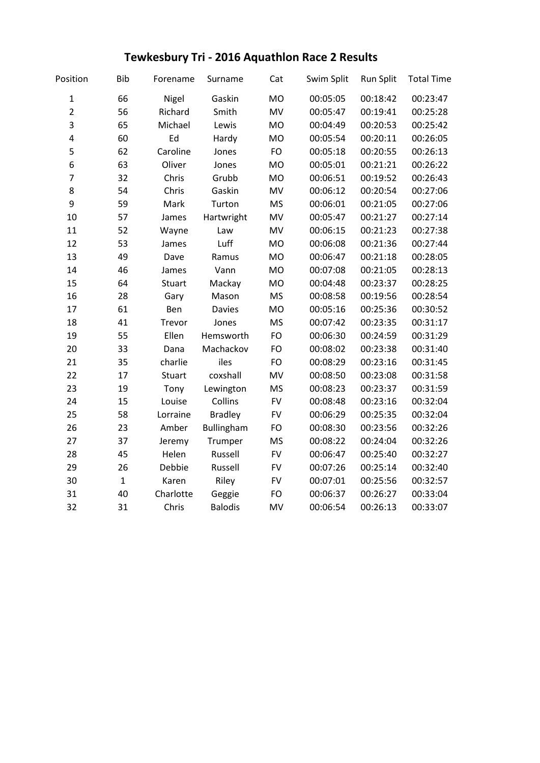## **Tewkesbury Tri - 2016 Aquathlon Race 2 Results**

| Position                | <b>Bib</b>   | Forename      | Surname        | Cat       | Swim Split | <b>Run Split</b> | <b>Total Time</b> |
|-------------------------|--------------|---------------|----------------|-----------|------------|------------------|-------------------|
| $\mathbf 1$             | 66           | Nigel         | Gaskin         | <b>MO</b> | 00:05:05   | 00:18:42         | 00:23:47          |
| $\overline{2}$          | 56           | Richard       | Smith          | MV        | 00:05:47   | 00:19:41         | 00:25:28          |
| 3                       | 65           | Michael       | Lewis          | <b>MO</b> | 00:04:49   | 00:20:53         | 00:25:42          |
| $\overline{\mathbf{4}}$ | 60           | Ed            | Hardy          | <b>MO</b> | 00:05:54   | 00:20:11         | 00:26:05          |
| 5                       | 62           | Caroline      | Jones          | <b>FO</b> | 00:05:18   | 00:20:55         | 00:26:13          |
| 6                       | 63           | Oliver        | Jones          | <b>MO</b> | 00:05:01   | 00:21:21         | 00:26:22          |
| $\overline{7}$          | 32           | Chris         | Grubb          | <b>MO</b> | 00:06:51   | 00:19:52         | 00:26:43          |
| 8                       | 54           | Chris         | Gaskin         | MV        | 00:06:12   | 00:20:54         | 00:27:06          |
| 9                       | 59           | Mark          | Turton         | <b>MS</b> | 00:06:01   | 00:21:05         | 00:27:06          |
| 10                      | 57           | James         | Hartwright     | MV        | 00:05:47   | 00:21:27         | 00:27:14          |
| 11                      | 52           | Wayne         | Law            | MV        | 00:06:15   | 00:21:23         | 00:27:38          |
| 12                      | 53           | James         | Luff           | <b>MO</b> | 00:06:08   | 00:21:36         | 00:27:44          |
| 13                      | 49           | Dave          | Ramus          | <b>MO</b> | 00:06:47   | 00:21:18         | 00:28:05          |
| 14                      | 46           | James         | Vann           | <b>MO</b> | 00:07:08   | 00:21:05         | 00:28:13          |
| 15                      | 64           | <b>Stuart</b> | Mackay         | <b>MO</b> | 00:04:48   | 00:23:37         | 00:28:25          |
| 16                      | 28           | Gary          | Mason          | <b>MS</b> | 00:08:58   | 00:19:56         | 00:28:54          |
| 17                      | 61           | Ben           | <b>Davies</b>  | <b>MO</b> | 00:05:16   | 00:25:36         | 00:30:52          |
| 18                      | 41           | Trevor        | Jones          | <b>MS</b> | 00:07:42   | 00:23:35         | 00:31:17          |
| 19                      | 55           | Ellen         | Hemsworth      | FO        | 00:06:30   | 00:24:59         | 00:31:29          |
| 20                      | 33           | Dana          | Machackov      | FO        | 00:08:02   | 00:23:38         | 00:31:40          |
| 21                      | 35           | charlie       | iles           | FO        | 00:08:29   | 00:23:16         | 00:31:45          |
| 22                      | 17           | Stuart        | coxshall       | MV        | 00:08:50   | 00:23:08         | 00:31:58          |
| 23                      | 19           | Tony          | Lewington      | <b>MS</b> | 00:08:23   | 00:23:37         | 00:31:59          |
| 24                      | 15           | Louise        | Collins        | <b>FV</b> | 00:08:48   | 00:23:16         | 00:32:04          |
| 25                      | 58           | Lorraine      | <b>Bradley</b> | <b>FV</b> | 00:06:29   | 00:25:35         | 00:32:04          |
| 26                      | 23           | Amber         | Bullingham     | FO        | 00:08:30   | 00:23:56         | 00:32:26          |
| 27                      | 37           | Jeremy        | Trumper        | <b>MS</b> | 00:08:22   | 00:24:04         | 00:32:26          |
| 28                      | 45           | Helen         | Russell        | <b>FV</b> | 00:06:47   | 00:25:40         | 00:32:27          |
| 29                      | 26           | Debbie        | Russell        | <b>FV</b> | 00:07:26   | 00:25:14         | 00:32:40          |
| 30                      | $\mathbf{1}$ | Karen         | Riley          | <b>FV</b> | 00:07:01   | 00:25:56         | 00:32:57          |
| 31                      | 40           | Charlotte     | Geggie         | <b>FO</b> | 00:06:37   | 00:26:27         | 00:33:04          |
| 32                      | 31           | Chris         | <b>Balodis</b> | MV        | 00:06:54   | 00:26:13         | 00:33:07          |
|                         |              |               |                |           |            |                  |                   |